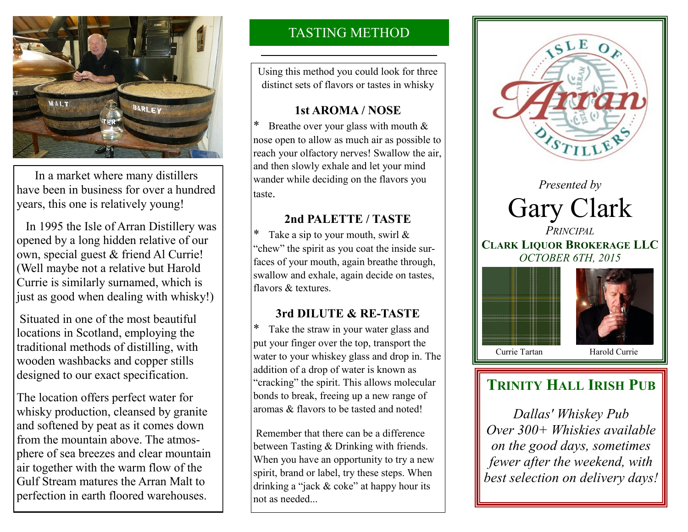

 In a market where many distillers have been in business for over a hundred years, this one is relatively young!

 In 1995 the Isle of Arran Distillery was opened by a long hidden relative of our own, special guest & friend Al Currie! (Well maybe not a relative but Harold Currie is similarly surnamed, which is just as good when dealing with whisky!)

Situated in one of the most beautiful locations in Scotland, employing the traditional methods of distilling, with wooden washbacks and copper stills designed to our exact specification.

The location offers perfect water for whisky production, cleansed by granite and softened by peat as it comes down from the mountain above. The atmosphere of sea breezes and clear mountain air together with the warm flow of the Gulf Stream matures the Arran Malt to perfection in earth floored warehouses.

## TASTING METHOD

Using this method you could look for three distinct sets of flavors or tastes in whisky

### **1st AROMA / NOSE**

Breathe over your glass with mouth  $&$ nose open to allow as much air as possible to reach your olfactory nerves! Swallow the air, and then slowly exhale and let your mind wander while deciding on the flavors you taste.

## **2nd PALETTE / TASTE**

Take a sip to your mouth, swirl  $&$ "chew" the spirit as you coat the inside surfaces of your mouth, again breathe through, swallow and exhale, again decide on tastes, flavors & textures.

## **3rd DILUTE & RE-TASTE**

\* Take the straw in your water glass and put your finger over the top, transport the water to your whiskey glass and drop in. The addition of a drop of water is known as "cracking" the spirit. This allows molecular bonds to break, freeing up a new range of aromas & flavors to be tasted and noted!

Remember that there can be a difference between Tasting & Drinking with friends. When you have an opportunity to try a new spirit, brand or label, try these steps. When drinking a "jack & coke" at happy hour its not as needed...



# **TRINITY HALL IRISH PUB**

*Dallas' Whiskey Pub Over 300+ Whiskies available on the good days, sometimes fewer after the weekend, with best selection on delivery days!*